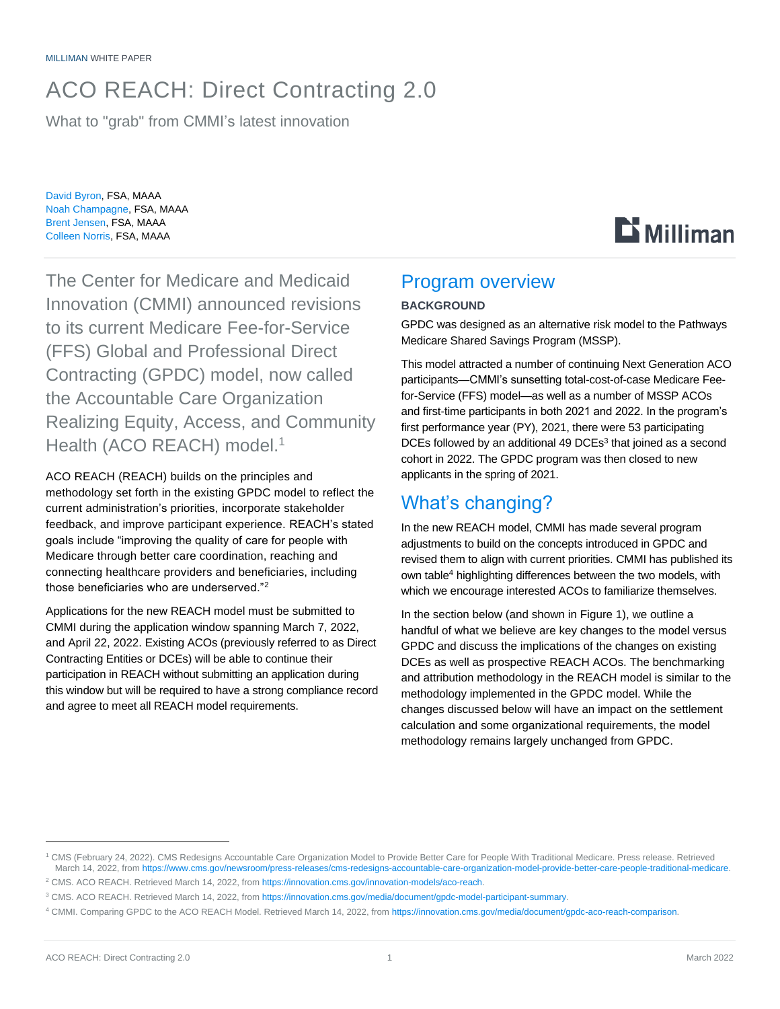# ACO REACH: Direct Contracting 2.0

What to "grab" from CMMI's latest innovation

David Byron, FSA, MAAA Noah Champagne, FSA, MAAA Brent Jensen, FSA, MAAA Colleen Norris, FSA, MAAA

The Center for Medicare and Medicaid Innovation (CMMI) announced revisions to its current Medicare Fee-for-Service (FFS) Global and Professional Direct Contracting (GPDC) model, now called the Accountable Care Organization Realizing Equity, Access, and Community Health (ACO REACH) model.<sup>1</sup>

ACO REACH (REACH) builds on the principles and methodology set forth in the existing GPDC model to reflect the current administration's priorities, incorporate stakeholder feedback, and improve participant experience. REACH's stated goals include "improving the quality of care for people with Medicare through better care coordination, reaching and connecting healthcare providers and beneficiaries, including those beneficiaries who are underserved."<sup>2</sup>

Applications for the new REACH model must be submitted to CMMI during the application window spanning March 7, 2022, and April 22, 2022. Existing ACOs (previously referred to as Direct Contracting Entities or DCEs) will be able to continue their participation in REACH without submitting an application during this window but will be required to have a strong compliance record and agree to meet all REACH model requirements.

### Program overview

#### **BACKGROUND**

GPDC was designed as an alternative risk model to the Pathways Medicare Shared Savings Program (MSSP).

 $\mathbf{D}$  Milliman

This model attracted a number of continuing Next Generation ACO participants—CMMI's sunsetting total-cost-of-case Medicare Feefor-Service (FFS) model—as well as a number of MSSP ACOs and first-time participants in both 2021 and 2022. In the program's first performance year (PY), 2021, there were 53 participating DCEs followed by an additional 49 DCEs<sup>3</sup> that joined as a second cohort in 2022. The GPDC program was then closed to new applicants in the spring of 2021.

# What's changing?

In the new REACH model, CMMI has made several program adjustments to build on the concepts introduced in GPDC and revised them to align with current priorities. CMMI has published its own table<sup>4</sup> highlighting differences between the two models, with which we encourage interested ACOs to familiarize themselves.

<span id="page-0-1"></span><span id="page-0-0"></span>In the section below (and shown in Figure 1), we outline a handful of what we believe are key changes to the model versus GPDC and discuss the implications of the changes on existing DCEs as well as prospective REACH ACOs. The benchmarking and attribution methodology in the REACH model is similar to the methodology implemented in the GPDC model. While the changes discussed below will have an impact on the settlement calculation and some organizational requirements, the model methodology remains largely unchanged from GPDC.

<sup>1</sup> CMS (February 24, 2022). CMS Redesigns Accountable Care Organization Model to Provide Better Care for People With Traditional Medicare. Press release. Retrieved March 14, 2022, fro[m https://www.cms.gov/newsroom/press-releases/cms-redesigns-accountable-care-organization-model-provide-better-care-people-traditional-medicare.](https://www.cms.gov/newsroom/press-releases/cms-redesigns-accountable-care-organization-model-provide-better-care-people-traditional-medicare)

<sup>&</sup>lt;sup>2</sup> CMS. ACO REACH. Retrieved March 14, 2022, from [https://innovation.cms.gov/innovation-models/aco-reach.](https://innovation.cms.gov/innovation-models/aco-reach)

<sup>3</sup> CMS. ACO REACH. Retrieved March 14, 2022, from [https://innovation.cms.gov/media/document/gpdc-model-participant-summary.](https://innovation.cms.gov/media/document/gpdc-model-participant-summary)

<sup>4</sup> CMMI. Comparing GPDC to the ACO REACH Model. Retrieved March 14, 2022, fro[m https://innovation.cms.gov/media/document/gpdc-aco-reach-comparison.](https://innovation.cms.gov/media/document/gpdc-aco-reach-comparison)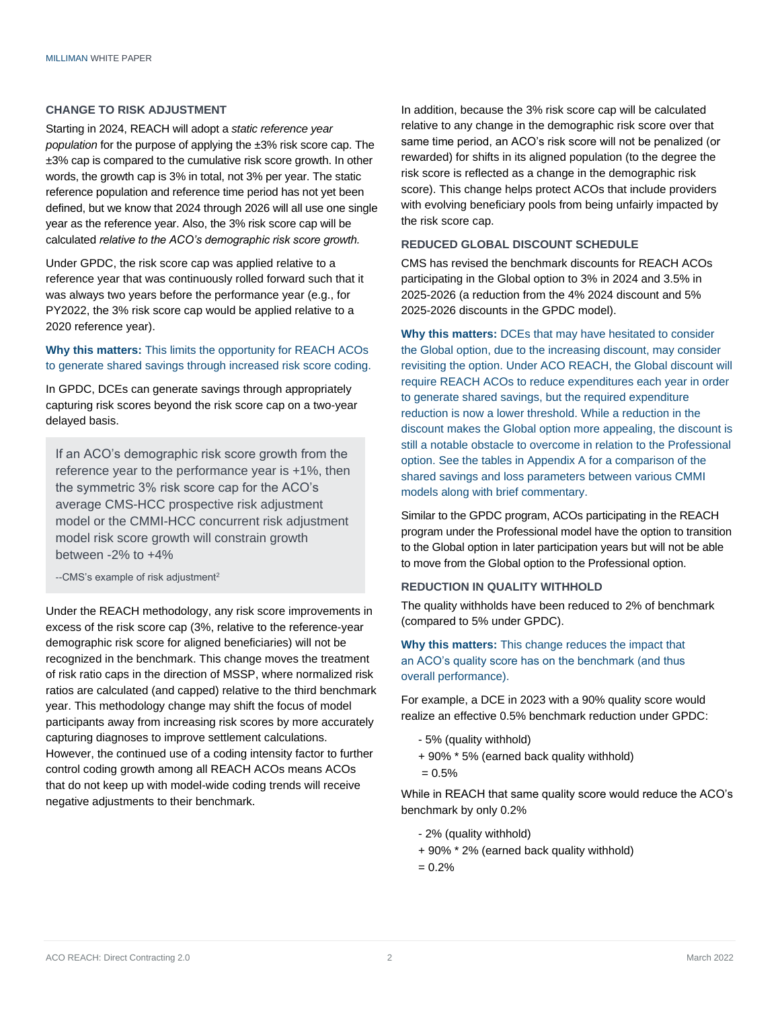#### **CHANGE TO RISK ADJUSTMENT**

Starting in 2024, REACH will adopt a *static reference year population* for the purpose of applying the ±3% risk score cap. The ±3% cap is compared to the cumulative risk score growth. In other words, the growth cap is 3% in total, not 3% per year. The static reference population and reference time period has not yet been defined, but we know that 2024 through 2026 will all use one single year as the reference year. Also, the 3% risk score cap will be calculated *relative to the ACO's demographic risk score growth.* 

Under GPDC, the risk score cap was applied relative to a reference year that was continuously rolled forward such that it was always two years before the performance year (e.g., for PY2022, the 3% risk score cap would be applied relative to a 2020 reference year).

#### **Why this matters:** This limits the opportunity for REACH ACOs to generate shared savings through increased risk score coding.

In GPDC, DCEs can generate savings through appropriately capturing risk scores beyond the risk score cap on a two-year delayed basis.

If an ACO's demographic risk score growth from the reference year to the performance year is +1%, then the symmetric 3% risk score cap for the ACO's average CMS-HCC prospective risk adjustment model or the CMMI-HCC concurrent risk adjustment model risk score growth will constrain growth between -2% to +4%

--CMS's example of risk adjustment<sup>[2](#page-0-0)</sup>

Under the REACH methodology, any risk score improvements in excess of the risk score cap (3%, relative to the reference-year demographic risk score for aligned beneficiaries) will not be recognized in the benchmark. This change moves the treatment of risk ratio caps in the direction of MSSP, where normalized risk ratios are calculated (and capped) relative to the third benchmark year. This methodology change may shift the focus of model participants away from increasing risk scores by more accurately capturing diagnoses to improve settlement calculations. However, the continued use of a coding intensity factor to further control coding growth among all REACH ACOs means ACOs that do not keep up with model-wide coding trends will receive negative adjustments to their benchmark.

In addition, because the 3% risk score cap will be calculated relative to any change in the demographic risk score over that same time period, an ACO's risk score will not be penalized (or rewarded) for shifts in its aligned population (to the degree the risk score is reflected as a change in the demographic risk score). This change helps protect ACOs that include providers with evolving beneficiary pools from being unfairly impacted by the risk score cap.

#### **REDUCED GLOBAL DISCOUNT SCHEDULE**

CMS has revised the benchmark discounts for REACH ACOs participating in the Global option to 3% in 2024 and 3.5% in 2025-2026 (a reduction from the 4% 2024 discount and 5% 2025-2026 discounts in the GPDC model).

**Why this matters:** DCEs that may have hesitated to consider the Global option, due to the increasing discount, may consider revisiting the option. Under ACO REACH, the Global discount will require REACH ACOs to reduce expenditures each year in order to generate shared savings, but the required expenditure reduction is now a lower threshold. While a reduction in the discount makes the Global option more appealing, the discount is still a notable obstacle to overcome in relation to the Professional option. See the tables in Appendix A for a comparison of the shared savings and loss parameters between various CMMI models along with brief commentary.

Similar to the GPDC program, ACOs participating in the REACH program under the Professional model have the option to transition to the Global option in later participation years but will not be able to move from the Global option to the Professional option.

#### **REDUCTION IN QUALITY WITHHOLD**

The quality withholds have been reduced to 2% of benchmark (compared to 5% under GPDC).

#### **Why this matters:** This change reduces the impact that an ACO's quality score has on the benchmark (and thus overall performance).

For example, a DCE in 2023 with a 90% quality score would realize an effective 0.5% benchmark reduction under GPDC:

- 5% (quality withhold)
- + 90% \* 5% (earned back quality withhold)
- $= 0.5%$

While in REACH that same quality score would reduce the ACO's benchmark by only 0.2%

- 2% (quality withhold)
- + 90% \* 2% (earned back quality withhold)
- $= 0.2%$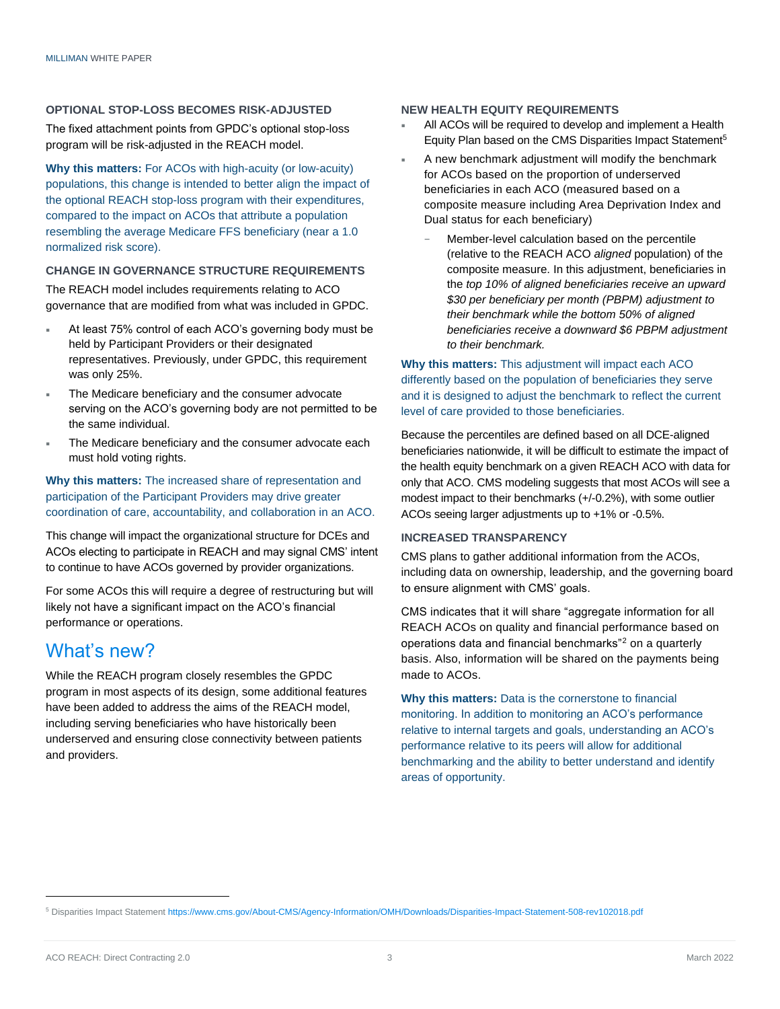#### **OPTIONAL STOP-LOSS BECOMES RISK-ADJUSTED**

The fixed attachment points from GPDC's optional stop-loss program will be risk-adjusted in the REACH model.

**Why this matters:** For ACOs with high-acuity (or low-acuity) populations, this change is intended to better align the impact of the optional REACH stop-loss program with their expenditures, compared to the impact on ACOs that attribute a population resembling the average Medicare FFS beneficiary (near a 1.0 normalized risk score).

#### **CHANGE IN GOVERNANCE STRUCTURE REQUIREMENTS**

The REACH model includes requirements relating to ACO governance that are modified from what was included in GPDC.

- At least 75% control of each ACO's governing body must be held by Participant Providers or their designated representatives. Previously, under GPDC, this requirement was only 25%.
- The Medicare beneficiary and the consumer advocate serving on the ACO's governing body are not permitted to be the same individual.
- The Medicare beneficiary and the consumer advocate each must hold voting rights.

#### **Why this matters:** The increased share of representation and participation of the Participant Providers may drive greater coordination of care, accountability, and collaboration in an ACO.

This change will impact the organizational structure for DCEs and ACOs electing to participate in REACH and may signal CMS' intent to continue to have ACOs governed by provider organizations.

For some ACOs this will require a degree of restructuring but will likely not have a significant impact on the ACO's financial performance or operations.

### What's new?

While the REACH program closely resembles the GPDC program in most aspects of its design, some additional features have been added to address the aims of the REACH model, including serving beneficiaries who have historically been underserved and ensuring close connectivity between patients and providers.

#### **NEW HEALTH EQUITY REQUIREMENTS**

- All ACOs will be required to develop and implement a Health Equity Plan based on the CMS Disparities Impact Statement<sup>5</sup>
- A new benchmark adjustment will modify the benchmark for ACOs based on the proportion of underserved beneficiaries in each ACO (measured based on a composite measure including Area Deprivation Index and Dual status for each beneficiary)
	- Member-level calculation based on the percentile (relative to the REACH ACO *aligned* population) of the composite measure. In this adjustment, beneficiaries in the *top 10% of aligned beneficiaries receive an upward \$30 per beneficiary per month (PBPM) adjustment to their benchmark while the bottom 50% of aligned beneficiaries receive a downward \$6 PBPM adjustment to their benchmark.*

**Why this matters:** This adjustment will impact each ACO differently based on the population of beneficiaries they serve and it is designed to adjust the benchmark to reflect the current level of care provided to those beneficiaries.

Because the percentiles are defined based on all DCE-aligned beneficiaries nationwide, it will be difficult to estimate the impact of the health equity benchmark on a given REACH ACO with data for only that ACO. CMS modeling suggests that most ACOs will see a modest impact to their benchmarks (+/-0.2%), with some outlier ACOs seeing larger adjustments up to +1% or -0.5%.

#### **INCREASED TRANSPARENCY**

CMS plans to gather additional information from the ACOs, including data on ownership, leadership, and the governing board to ensure alignment with CMS' goals.

CMS indicates that it will share "aggregate information for all REACH ACOs on quality and financial performance based on operations data and financial benchmarks["](#page-0-1)<sup>2</sup> on a quarterly basis. Also, information will be shared on the payments being made to ACOs.

**Why this matters:** Data is the cornerstone to financial monitoring. In addition to monitoring an ACO's performance relative to internal targets and goals, understanding an ACO's performance relative to its peers will allow for additional benchmarking and the ability to better understand and identify areas of opportunity.

<sup>5</sup> Disparities Impact Statement<https://www.cms.gov/About-CMS/Agency-Information/OMH/Downloads/Disparities-Impact-Statement-508-rev102018.pdf>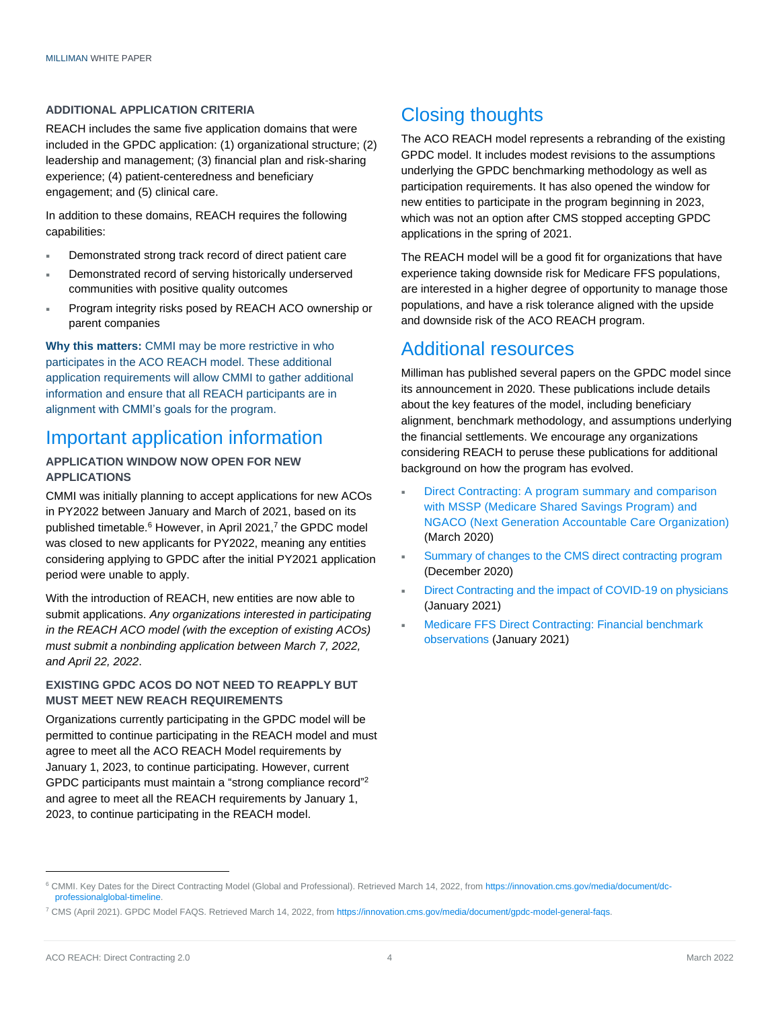#### **ADDITIONAL APPLICATION CRITERIA**

REACH includes the same five application domains that were included in the GPDC application: (1) organizational structure; (2) leadership and management; (3) financial plan and risk-sharing experience; (4) patient-centeredness and beneficiary engagement; and (5) clinical care.

In addition to these domains, REACH requires the following capabilities:

- Demonstrated strong track record of direct patient care
- Demonstrated record of serving historically underserved communities with positive quality outcomes
- Program integrity risks posed by REACH ACO ownership or parent companies

**Why this matters:** CMMI may be more restrictive in who participates in the ACO REACH model. These additional application requirements will allow CMMI to gather additional information and ensure that all REACH participants are in alignment with CMMI's goals for the program.

### Important application information

#### **APPLICATION WINDOW NOW OPEN FOR NEW APPLICATIONS**

CMMI was initially planning to accept applications for new ACOs in PY2022 between January and March of 2021, based on its published timetable.<sup>6</sup> However, in April 2021,<sup>7</sup> the GPDC model was closed to new applicants for PY2022, meaning any entities considering applying to GPDC after the initial PY2021 application period were unable to apply.

With the introduction of REACH, new entities are now able to submit applications. *Any organizations interested in participating in the REACH ACO model (with the exception of existing ACOs) must submit a nonbinding application between March 7, 2022, and April 22, 2022*.

#### **EXISTING GPDC ACOS DO NOT NEED TO REAPPLY BUT MUST MEET NEW REACH REQUIREMENTS**

Organizations currently participating in the GPDC model will be permitted to continue participating in the REACH model and must agree to meet all the ACO REACH Model requirements by January 1, 2023, to continue participating. However, current GPDC participants must maintain a "strong compliance record"<sup>[2](#page-0-0)</sup> and agree to meet all the REACH requirements by January 1, 2023, to continue participating in the REACH model.

# Closing thoughts

The ACO REACH model represents a rebranding of the existing GPDC model. It includes modest revisions to the assumptions underlying the GPDC benchmarking methodology as well as participation requirements. It has also opened the window for new entities to participate in the program beginning in 2023, which was not an option after CMS stopped accepting GPDC applications in the spring of 2021.

The REACH model will be a good fit for organizations that have experience taking downside risk for Medicare FFS populations, are interested in a higher degree of opportunity to manage those populations, and have a risk tolerance aligned with the upside and downside risk of the ACO REACH program.

### Additional resources

Milliman has published several papers on the GPDC model since its announcement in 2020. These publications include details about the key features of the model, including beneficiary alignment, benchmark methodology, and assumptions underlying the financial settlements. We encourage any organizations considering REACH to peruse these publications for additional background on how the program has evolved.

- [Direct Contracting: A program summary and comparison](https://www.milliman.com/en/insight/direct-contracting-a-program-summary-and-comparison-with-mssp-and-ngaco)  [with MSSP \(Medicare Shared Savings Program\) and](https://www.milliman.com/en/insight/direct-contracting-a-program-summary-and-comparison-with-mssp-and-ngaco)  [NGACO \(Next Generation Accountable Care Organization\)](https://www.milliman.com/en/insight/direct-contracting-a-program-summary-and-comparison-with-mssp-and-ngaco) (March 2020)
- [Summary of changes to the CMS direct contracting program](https://us.milliman.com/en/insight/summary-of-changes-to-the-cms-direct-contracting-program) (December 2020)
- [Direct Contracting and the impact of COVID-19 on physicians](https://us.milliman.com/-/media/milliman/pdfs/2021-articles/1-8-21-direct_contracting_and_the_impact-v1.ashx) (January 2021)
- [Medicare FFS Direct Contracting: Financial benchmark](https://us.milliman.com/en/insight/medicare-ffs-direct-contracting-financial-benchmark-observations)  [observations \(](https://us.milliman.com/en/insight/medicare-ffs-direct-contracting-financial-benchmark-observations)January 2021)

<sup>&</sup>lt;sup>6</sup> CMMI. Key Dates for the Direct Contracting Model (Global and Professional). Retrieved March 14, 2022, fro[m https://innovation.cms.gov/media/document/dc](https://innovation.cms.gov/media/document/dc-professionalglobal-timeline)[professionalglobal-timeline.](https://innovation.cms.gov/media/document/dc-professionalglobal-timeline)

<sup>7</sup> CMS (April 2021). GPDC Model FAQS. Retrieved March 14, 2022, fro[m https://innovation.cms.gov/media/document/gpdc-model-general-faqs.](https://innovation.cms.gov/media/document/gpdc-model-general-faqs)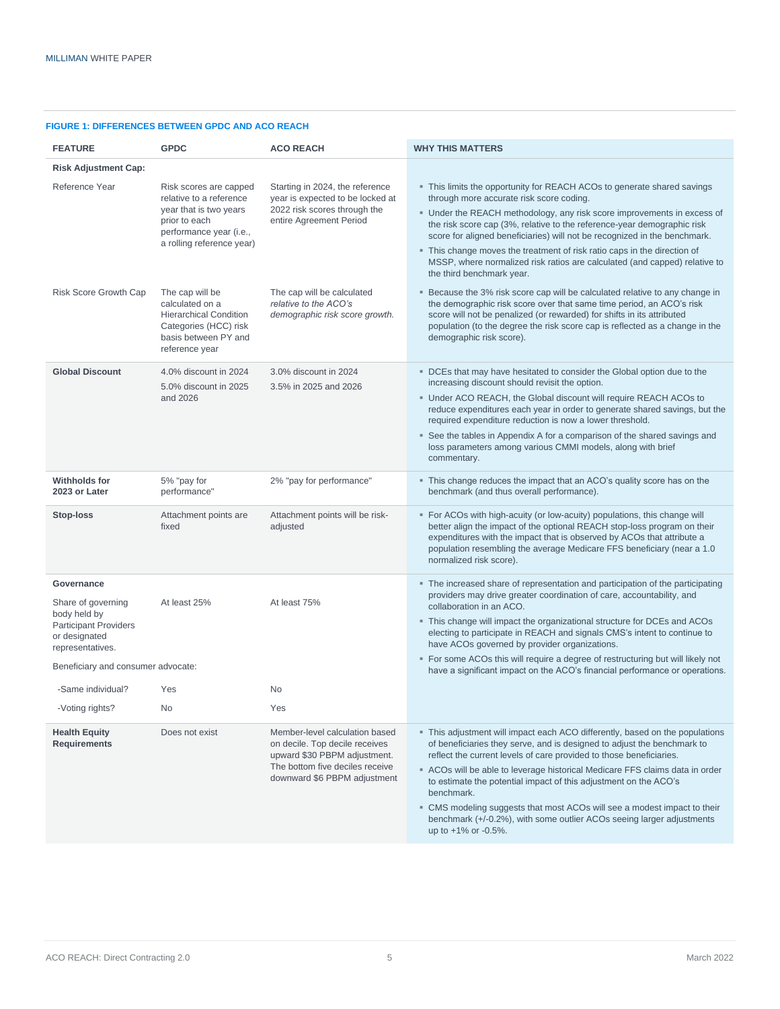| <b>FIGURE 1: DIFFERENCES BETWEEN GPDC AND ACO REACH</b> |  |  |
|---------------------------------------------------------|--|--|

| <b>FEATURE</b>                                                                                                        | <b>GPDC</b>                                                                                                                                          | <b>ACO REACH</b>                                                                                                                                                    | <b>WHY THIS MATTERS</b>                                                                                                                                                                                                                                                                                                                                                                                                                                                                                                                                                    |  |
|-----------------------------------------------------------------------------------------------------------------------|------------------------------------------------------------------------------------------------------------------------------------------------------|---------------------------------------------------------------------------------------------------------------------------------------------------------------------|----------------------------------------------------------------------------------------------------------------------------------------------------------------------------------------------------------------------------------------------------------------------------------------------------------------------------------------------------------------------------------------------------------------------------------------------------------------------------------------------------------------------------------------------------------------------------|--|
| <b>Risk Adjustment Cap:</b>                                                                                           |                                                                                                                                                      |                                                                                                                                                                     |                                                                                                                                                                                                                                                                                                                                                                                                                                                                                                                                                                            |  |
| Reference Year                                                                                                        | Risk scores are capped<br>relative to a reference<br>year that is two years<br>prior to each<br>performance year (i.e.,<br>a rolling reference year) | Starting in 2024, the reference<br>year is expected to be locked at<br>2022 risk scores through the<br>entire Agreement Period                                      | • This limits the opportunity for REACH ACOs to generate shared savings<br>through more accurate risk score coding.<br>• Under the REACH methodology, any risk score improvements in excess of<br>the risk score cap (3%, relative to the reference-year demographic risk<br>score for aligned beneficiaries) will not be recognized in the benchmark.<br>. This change moves the treatment of risk ratio caps in the direction of<br>MSSP, where normalized risk ratios are calculated (and capped) relative to<br>the third benchmark year.                              |  |
| Risk Score Growth Cap                                                                                                 | The cap will be<br>calculated on a<br><b>Hierarchical Condition</b><br>Categories (HCC) risk<br>basis between PY and<br>reference year               | The cap will be calculated<br>relative to the ACO's<br>demographic risk score growth.                                                                               | ■ Because the 3% risk score cap will be calculated relative to any change in<br>the demographic risk score over that same time period, an ACO's risk<br>score will not be penalized (or rewarded) for shifts in its attributed<br>population (to the degree the risk score cap is reflected as a change in the<br>demographic risk score).                                                                                                                                                                                                                                 |  |
| <b>Global Discount</b>                                                                                                | 4.0% discount in 2024<br>5.0% discount in 2025<br>and 2026                                                                                           | 3.0% discount in 2024<br>3.5% in 2025 and 2026                                                                                                                      | . DCEs that may have hesitated to consider the Global option due to the<br>increasing discount should revisit the option.<br>. Under ACO REACH, the Global discount will require REACH ACOs to<br>reduce expenditures each year in order to generate shared savings, but the<br>required expenditure reduction is now a lower threshold.<br>• See the tables in Appendix A for a comparison of the shared savings and<br>loss parameters among various CMMI models, along with brief<br>commentary.                                                                        |  |
| <b>Withholds for</b><br>2023 or Later                                                                                 | 5% "pay for<br>performance"                                                                                                                          | 2% "pay for performance"                                                                                                                                            | • This change reduces the impact that an ACO's quality score has on the<br>benchmark (and thus overall performance).                                                                                                                                                                                                                                                                                                                                                                                                                                                       |  |
| Stop-loss                                                                                                             | Attachment points are<br>fixed                                                                                                                       | Attachment points will be risk-<br>adjusted                                                                                                                         | • For ACOs with high-acuity (or low-acuity) populations, this change will<br>better align the impact of the optional REACH stop-loss program on their<br>expenditures with the impact that is observed by ACOs that attribute a<br>population resembling the average Medicare FFS beneficiary (near a 1.0<br>normalized risk score).                                                                                                                                                                                                                                       |  |
| Governance<br>Share of governing<br>body held by<br><b>Participant Providers</b><br>or designated<br>representatives. | At least 25%                                                                                                                                         | At least 75%                                                                                                                                                        | • The increased share of representation and participation of the participating<br>providers may drive greater coordination of care, accountability, and<br>collaboration in an ACO.<br>• This change will impact the organizational structure for DCEs and ACOs<br>electing to participate in REACH and signals CMS's intent to continue to<br>have ACOs governed by provider organizations.                                                                                                                                                                               |  |
| Beneficiary and consumer advocate:                                                                                    |                                                                                                                                                      |                                                                                                                                                                     | • For some ACOs this will require a degree of restructuring but will likely not<br>have a significant impact on the ACO's financial performance or operations.                                                                                                                                                                                                                                                                                                                                                                                                             |  |
| -Same individual?                                                                                                     | Yes                                                                                                                                                  | No                                                                                                                                                                  |                                                                                                                                                                                                                                                                                                                                                                                                                                                                                                                                                                            |  |
| -Voting rights?                                                                                                       | No.                                                                                                                                                  | Yes                                                                                                                                                                 |                                                                                                                                                                                                                                                                                                                                                                                                                                                                                                                                                                            |  |
| <b>Health Equity</b><br><b>Requirements</b>                                                                           | Does not exist                                                                                                                                       | Member-level calculation based<br>on decile. Top decile receives<br>upward \$30 PBPM adjustment.<br>The bottom five deciles receive<br>downward \$6 PBPM adjustment | . This adjustment will impact each ACO differently, based on the populations<br>of beneficiaries they serve, and is designed to adjust the benchmark to<br>reflect the current levels of care provided to those beneficiaries.<br>ACOs will be able to leverage historical Medicare FFS claims data in order<br>to estimate the potential impact of this adjustment on the ACO's<br>benchmark.<br>• CMS modeling suggests that most ACOs will see a modest impact to their<br>benchmark (+/-0.2%), with some outlier ACOs seeing larger adjustments<br>up to +1% or -0.5%. |  |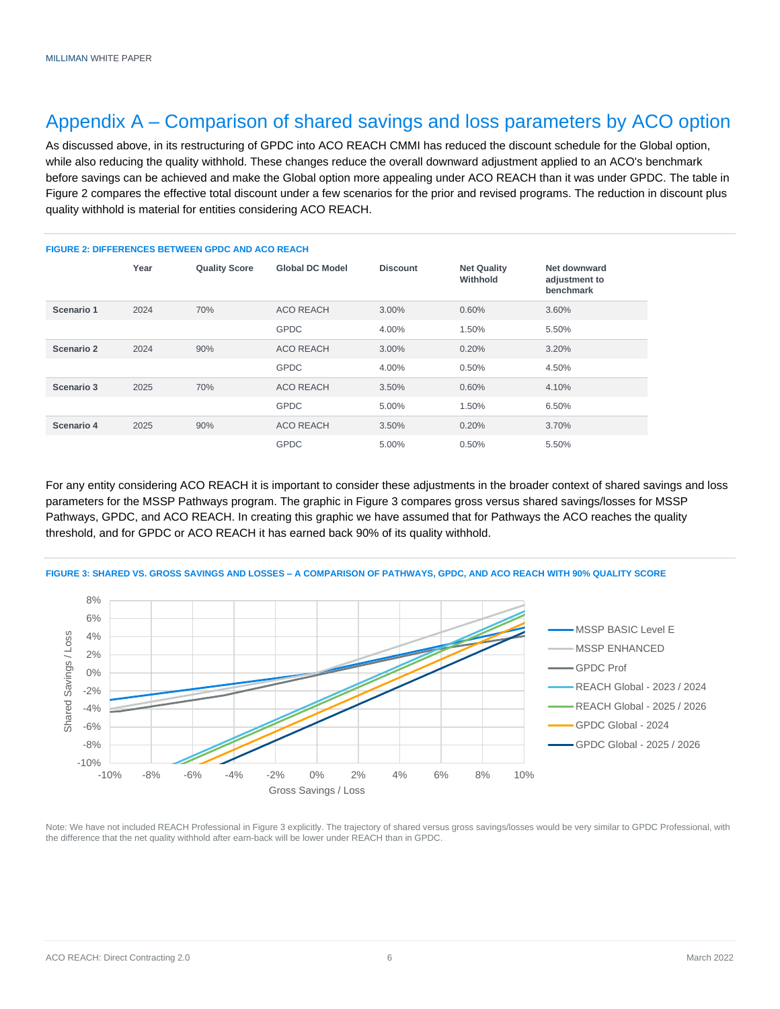# Appendix A – Comparison of shared savings and loss parameters by ACO option

As discussed above, in its restructuring of GPDC into ACO REACH CMMI has reduced the discount schedule for the Global option, while also reducing the quality withhold. These changes reduce the overall downward adjustment applied to an ACO's benchmark before savings can be achieved and make the Global option more appealing under ACO REACH than it was under GPDC. The table in Figure 2 compares the effective total discount under a few scenarios for the prior and revised programs. The reduction in discount plus quality withhold is material for entities considering ACO REACH.

#### **FIGURE 2: DIFFERENCES BETWEEN GPDC AND ACO REACH Year Quality Score Global DC Model Discount Net Quality Withhold Net downward adjustment to benchmark Scenario 1** 2024 70% ACO REACH 3.00% 0.60% 3.60% GPDC 4.00% 1.50% 5.50% **Scenario 2** 2024 90% ACO REACH 3.00% 0.20% 3.20% GPDC 4.00% 0.50% 4.50% **Scenario 3** 2025 70% ACO REACH 3.50% 0.60% 4.10% GPDC 5.00% 1.50% 6.50% **Scenario 4** 2025 90% ACO REACH 3.50% 0.20% 3.70% GPDC 5.00% 0.50% 5.50%

For any entity considering ACO REACH it is important to consider these adjustments in the broader context of shared savings and loss parameters for the MSSP Pathways program. The graphic in Figure 3 compares gross versus shared savings/losses for MSSP Pathways, GPDC, and ACO REACH. In creating this graphic we have assumed that for Pathways the ACO reaches the quality threshold, and for GPDC or ACO REACH it has earned back 90% of its quality withhold.



**FIGURE 3: SHARED VS. GROSS SAVINGS AND LOSSES – A COMPARISON OF PATHWAYS, GPDC, AND ACO REACH WITH 90% QUALITY SCORE**

Note: We have not included REACH Professional in Figure 3 explicitly. The trajectory of shared versus gross savings/losses would be very similar to GPDC Professional, with the difference that the net quality withhold after earn-back will be lower under REACH than in GPDC.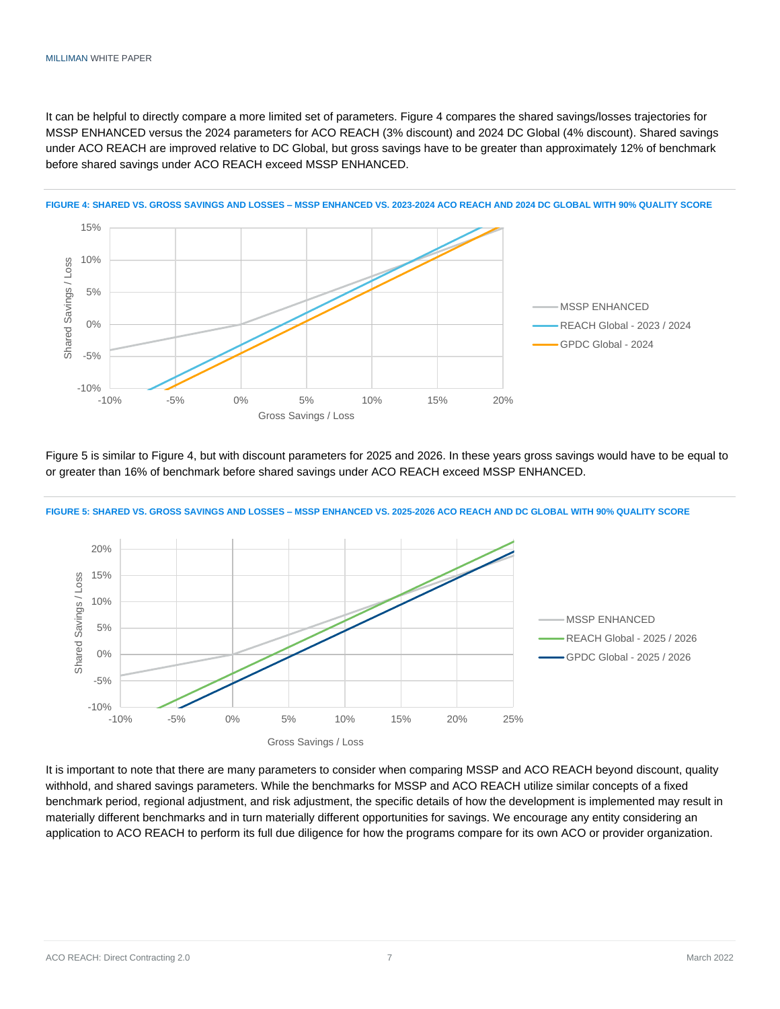It can be helpful to directly compare a more limited set of parameters. Figure 4 compares the shared savings/losses trajectories for MSSP ENHANCED versus the 2024 parameters for ACO REACH (3% discount) and 2024 DC Global (4% discount). Shared savings under ACO REACH are improved relative to DC Global, but gross savings have to be greater than approximately 12% of benchmark before shared savings under ACO REACH exceed MSSP ENHANCED.



**FIGURE 4: SHARED VS. GROSS SAVINGS AND LOSSES – MSSP ENHANCED VS. 2023-2024 ACO REACH AND 2024 DC GLOBAL WITH 90% QUALITY SCORE**

Figure 5 is similar to Figure 4, but with discount parameters for 2025 and 2026. In these years gross savings would have to be equal to or greater than 16% of benchmark before shared savings under ACO REACH exceed MSSP ENHANCED.





It is important to note that there are many parameters to consider when comparing MSSP and ACO REACH beyond discount, quality withhold, and shared savings parameters. While the benchmarks for MSSP and ACO REACH utilize similar concepts of a fixed benchmark period, regional adjustment, and risk adjustment, the specific details of how the development is implemented may result in materially different benchmarks and in turn materially different opportunities for savings. We encourage any entity considering an application to ACO REACH to perform its full due diligence for how the programs compare for its own ACO or provider organization.